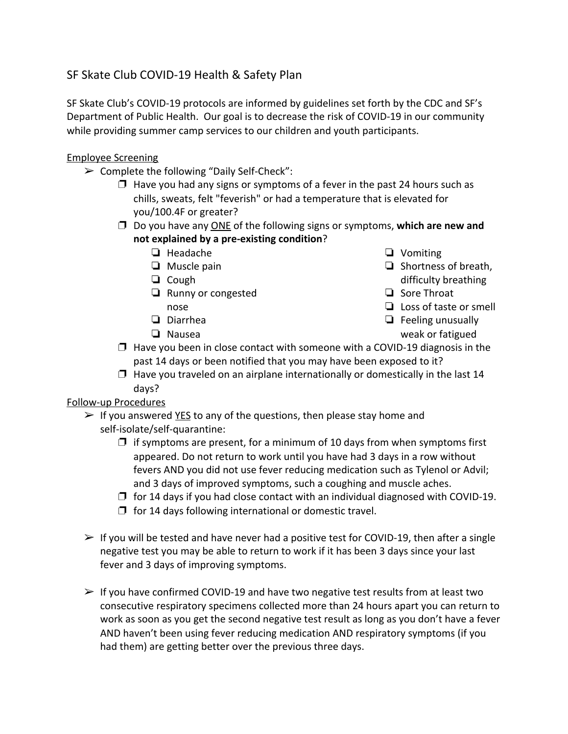# SF Skate Club COVID-19 Health & Safety Plan

SF Skate Club's COVID-19 protocols are informed by guidelines set forth by the CDC and SF's Department of Public Health. Our goal is to decrease the risk of COVID-19 in our community while providing summer camp services to our children and youth participants.

#### Employee Screening

- ➢ Complete the following "Daily Self-Check":
	- $\Box$  Have you had any signs or symptoms of a fever in the past 24 hours such as chills, sweats, felt "feverish" or had a temperature that is elevated for you/100.4F or greater?
	- ❐ Do you have any ONE of the following signs or symptoms, **which are new and not explained by a pre-existing condition**?
		- ❏ Headache
		- ❏ Muscle pain
		- ❏ Cough
		- ❏ Runny or congested nose
		- ❏ Diarrhea
		- ❏ Nausea
- ❏ Vomiting
- ❏ Shortness of breath, difficulty breathing
- ❏ Sore Throat
- ❏ Loss of taste or smell
- ❏ Feeling unusually weak or fatigued
- $\Box$  Have you been in close contact with someone with a COVID-19 diagnosis in the past 14 days or been notified that you may have been exposed to it?
- $\square$  Have you traveled on an airplane internationally or domestically in the last 14 days?

#### Follow-up Procedures

- $\triangleright$  If you answered <u>YES</u> to any of the questions, then please stay home and self-isolate/self-quarantine:
	- $\Box$  if symptoms are present, for a minimum of 10 days from when symptoms first appeared. Do not return to work until you have had 3 days in a row without fevers AND you did not use fever reducing medication such as Tylenol or Advil; and 3 days of improved symptoms, such a coughing and muscle aches.
	- $\Box$  for 14 days if you had close contact with an individual diagnosed with COVID-19.
	- $\square$  for 14 days following international or domestic travel.
- $\triangleright$  If you will be tested and have never had a positive test for COVID-19, then after a single negative test you may be able to return to work if it has been 3 days since your last fever and 3 days of improving symptoms.
- $\triangleright$  If you have confirmed COVID-19 and have two negative test results from at least two consecutive respiratory specimens collected more than 24 hours apart you can return to work as soon as you get the second negative test result as long as you don't have a fever AND haven't been using fever reducing medication AND respiratory symptoms (if you had them) are getting better over the previous three days.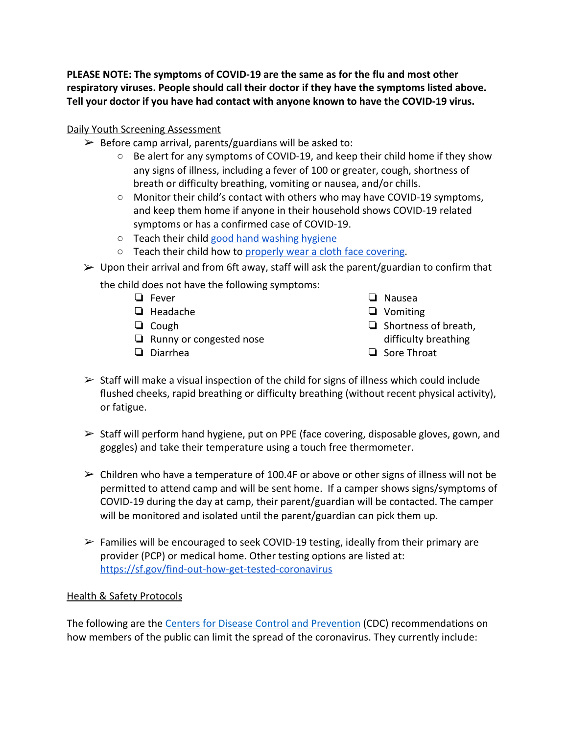**PLEASE NOTE: The symptoms of COVID-19 are the same as for the flu and most other respiratory viruses. People should call their doctor if they have the symptoms listed above. Tell your doctor if you have had contact with anyone known to have the COVID-19 virus.**

#### Daily Youth Screening Assessment

- $\triangleright$  Before camp arrival, parents/guardians will be asked to:
	- Be alert for any symptoms of COVID-19, and keep their child home if they show any signs of illness, including a fever of 100 or greater, cough, shortness of breath or difficulty breathing, vomiting or nausea, and/or chills.
	- Monitor their child's contact with others who may have COVID-19 symptoms, and keep them home if anyone in their household shows COVID-19 related symptoms or has a confirmed case of COVID-19.
	- Teach their child [good hand washing hygiene](https://www.cdc.gov/handwashing/when-how-handwashing.html)
	- Teach their child how to [properly wear a cloth face covering](https://www.cdc.gov/coronavirus/2019-ncov/prevent-getting-sick/diy-cloth-face-coverings.html).
- $\triangleright$  Upon their arrival and from 6ft away, staff will ask the parent/guardian to confirm that

the child does not have the following symptoms:

- ❏ Fever
- ❏ Headache
- ❏ Cough
- ❏ Runny or congested nose
- ❏ Diarrhea
- ❏ Nausea
- ❏ Vomiting
- ❏ Shortness of breath, difficulty breathing
- ❏ Sore Throat
- $\triangleright$  Staff will make a visual inspection of the child for signs of illness which could include flushed cheeks, rapid breathing or difficulty breathing (without recent physical activity), or fatigue.
- $\triangleright$  Staff will perform hand hygiene, put on PPE (face covering, disposable gloves, gown, and goggles) and take their temperature using a touch free thermometer.
- $\triangleright$  Children who have a temperature of 100.4F or above or other signs of illness will not be permitted to attend camp and will be sent home. If a camper shows signs/symptoms of COVID-19 during the day at camp, their parent/guardian will be contacted. The camper will be monitored and isolated until the parent/guardian can pick them up.
- $\triangleright$  Families will be encouraged to seek COVID-19 testing, ideally from their primary are provider (PCP) or medical home. Other testing options are listed at: <https://sf.gov/find-out-how-get-tested-coronavirus>

#### Health & Safety Protocols

The following are the [Centers for Disease Control and Prevention](https://www.cdc.gov/coronavirus/2019-ncov/downloads/2019-ncov-factsheet.pdf) (CDC) recommendations on how members of the public can limit the spread of the coronavirus. They currently include: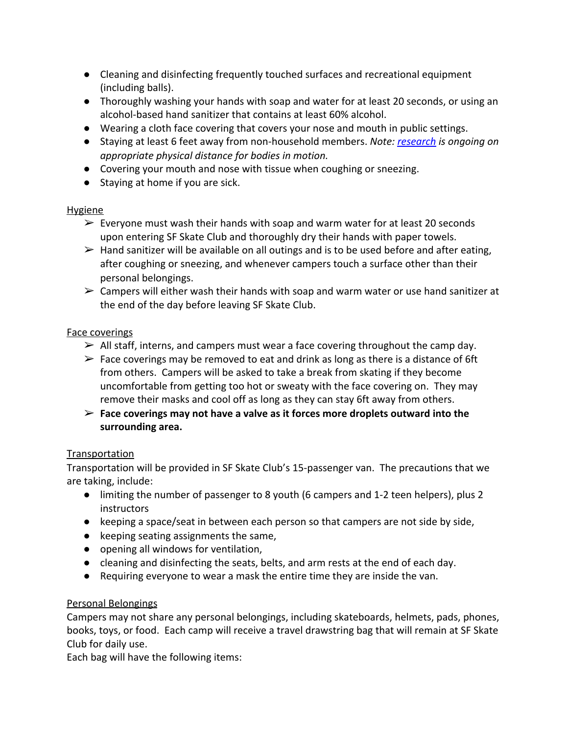- Cleaning and disinfecting frequently touched surfaces and recreational equipment (including balls).
- Thoroughly washing your hands with soap and water for at least 20 seconds, or using an alcohol-based hand sanitizer that contains at least 60% alcohol.
- Wearing a cloth face covering that covers your nose and mouth in public settings.
- Staying at least 6 feet away from non-household members. *Note: [research](http://www.urbanphysics.net/COVID19_Aero_Paper.pdf) is ongoing on appropriate physical distance for bodies in motion.*
- Covering your mouth and nose with tissue when coughing or sneezing.
- Staying at home if you are sick.

#### Hygiene

- $\triangleright$  Everyone must wash their hands with soap and warm water for at least 20 seconds upon entering SF Skate Club and thoroughly dry their hands with paper towels.
- $\triangleright$  Hand sanitizer will be available on all outings and is to be used before and after eating, after coughing or sneezing, and whenever campers touch a surface other than their personal belongings.
- $\triangleright$  Campers will either wash their hands with soap and warm water or use hand sanitizer at the end of the day before leaving SF Skate Club.

### Face coverings

- $\triangleright$  All staff, interns, and campers must wear a face covering throughout the camp day.
- $\triangleright$  Face coverings may be removed to eat and drink as long as there is a distance of 6ft from others. Campers will be asked to take a break from skating if they become uncomfortable from getting too hot or sweaty with the face covering on. They may remove their masks and cool off as long as they can stay 6ft away from others.
- ➢ **Face coverings may not have a valve as it forces more droplets outward into the surrounding area.**

### **Transportation**

Transportation will be provided in SF Skate Club's 15-passenger van. The precautions that we are taking, include:

- limiting the number of passenger to 8 youth (6 campers and 1-2 teen helpers), plus 2 instructors
- keeping a space/seat in between each person so that campers are not side by side,
- keeping seating assignments the same,
- opening all windows for ventilation,
- cleaning and disinfecting the seats, belts, and arm rests at the end of each day.
- Requiring everyone to wear a mask the entire time they are inside the van.

### Personal Belongings

Campers may not share any personal belongings, including skateboards, helmets, pads, phones, books, toys, or food. Each camp will receive a travel drawstring bag that will remain at SF Skate Club for daily use.

Each bag will have the following items: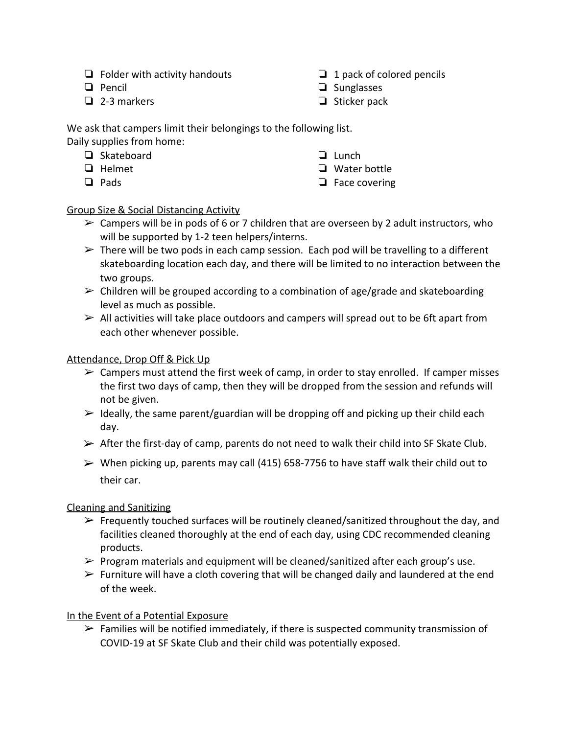- ❏ Folder with activity handouts
- ❏ Pencil
- ❏ 2-3 markers
- ❏ 1 pack of colored pencils
- ❏ Sunglasses
- ❏ Sticker pack

We ask that campers limit their belongings to the following list. Daily supplies from home:

- ❏ Skateboard
- ❏ Helmet
- ❏ Pads
- ❏ Lunch
- ❏ Water bottle
- ❏ Face covering

## Group Size & Social Distancing Activity

- $\triangleright$  Campers will be in pods of 6 or 7 children that are overseen by 2 adult instructors, who will be supported by 1-2 teen helpers/interns.
- $\triangleright$  There will be two pods in each camp session. Each pod will be travelling to a different skateboarding location each day, and there will be limited to no interaction between the two groups.
- $\triangleright$  Children will be grouped according to a combination of age/grade and skateboarding level as much as possible.
- $\triangleright$  All activities will take place outdoors and campers will spread out to be 6ft apart from each other whenever possible.

### Attendance, Drop Off & Pick Up

- $\triangleright$  Campers must attend the first week of camp, in order to stay enrolled. If camper misses the first two days of camp, then they will be dropped from the session and refunds will not be given.
- $\triangleright$  Ideally, the same parent/guardian will be dropping off and picking up their child each day.
- $\triangleright$  After the first-day of camp, parents do not need to walk their child into SF Skate Club.
- $\triangleright$  When picking up, parents may call (415) 658-7756 to have staff walk their child out to their car.

### Cleaning and Sanitizing

- $\triangleright$  Frequently touched surfaces will be routinely cleaned/sanitized throughout the day, and facilities cleaned thoroughly at the end of each day, using CDC recommended cleaning products.
- $\triangleright$  Program materials and equipment will be cleaned/sanitized after each group's use.
- $\triangleright$  Furniture will have a cloth covering that will be changed daily and laundered at the end of the week.

### In the Event of a Potential Exposure

 $\triangleright$  Families will be notified immediately, if there is suspected community transmission of COVID-19 at SF Skate Club and their child was potentially exposed.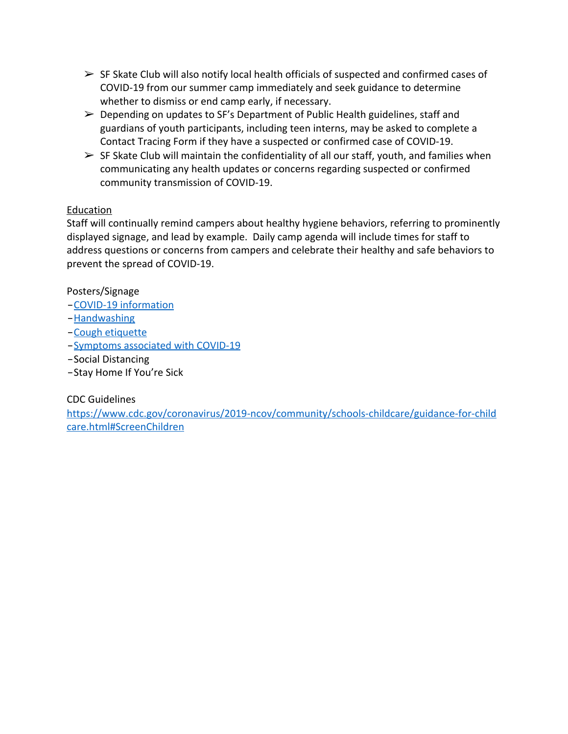- $\triangleright$  SF Skate Club will also notify local health officials of suspected and confirmed cases of COVID-19 from our summer camp immediately and seek guidance to determine whether to dismiss or end camp early, if necessary.
- $\triangleright$  Depending on updates to SF's Department of Public Health guidelines, staff and guardians of youth participants, including teen interns, may be asked to complete a Contact Tracing Form if they have a suspected or confirmed case of COVID-19.
- $\triangleright$  SF Skate Club will maintain the confidentiality of all our staff, youth, and families when communicating any health updates or concerns regarding suspected or confirmed community transmission of COVID-19.

#### Education

Staff will continually remind campers about healthy hygiene behaviors, referring to prominently displayed signage, and lead by example. Daily camp agenda will include times for staff to address questions or concerns from campers and celebrate their healthy and safe behaviors to prevent the spread of COVID-19.

Posters/Signage

- −[COVID-19 information](https://www.cdc.gov/coronavirus/2019-ncov/downloads/2019-ncov-factsheet.pdf)
- −[Handwashing](https://www.cdc.gov/handwashing/posters.html)
- −[Cough etiquette](https://www.cdc.gov/flu/pdf/protect/cdc_cough.pdf)
- −[Symptoms associated with COVID-19](https://www.cdc.gov/coronavirus/2019-ncov/downloads/COVID19-symptoms.pdf)
- −Social Distancing
- −Stay Home If You're Sick

#### CDC Guidelines

[https://www.cdc.gov/coronavirus/2019-ncov/community/schools-childcare/guidance-for-child](https://www.cdc.gov/coronavirus/2019-ncov/community/schools-childcare/guidance-for-childcare.html#ScreenChildren) [care.html#ScreenChildren](https://www.cdc.gov/coronavirus/2019-ncov/community/schools-childcare/guidance-for-childcare.html#ScreenChildren)